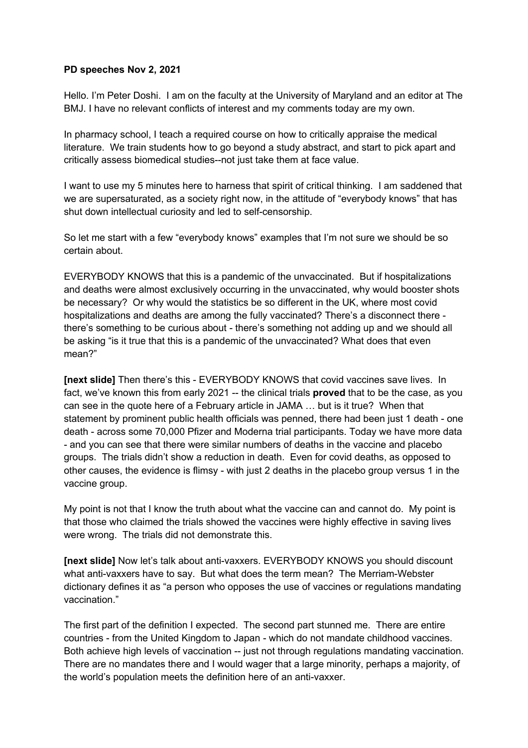## **PD speeches Nov 2, 2021**

Hello. I'm Peter Doshi. I am on the faculty at the University of Maryland and an editor at The BMJ. I have no relevant conflicts of interest and my comments today are my own.

In pharmacy school, I teach a required course on how to critically appraise the medical literature. We train students how to go beyond a study abstract, and start to pick apart and critically assess biomedical studies--not just take them at face value.

I want to use my 5 minutes here to harness that spirit of critical thinking. I am saddened that we are supersaturated, as a society right now, in the attitude of "everybody knows" that has shut down intellectual curiosity and led to self-censorship.

So let me start with a few "everybody knows" examples that I'm not sure we should be so certain about.

EVERYBODY KNOWS that this is a pandemic of the unvaccinated. But if hospitalizations and deaths were almost exclusively occurring in the unvaccinated, why would booster shots be necessary? Or why would the statistics be so different in the UK, where most covid hospitalizations and deaths are among the fully vaccinated? There's a disconnect there there's something to be curious about - there's something not adding up and we should all be asking "is it true that this is a pandemic of the unvaccinated? What does that even mean?"

**[next slide]** Then there's this - EVERYBODY KNOWS that covid vaccines save lives. In fact, we've known this from early 2021 -- the clinical trials **proved** that to be the case, as you can see in the quote here of a February article in JAMA … but is it true? When that statement by prominent public health officials was penned, there had been just 1 death - one death - across some 70,000 Pfizer and Moderna trial participants. Today we have more data - and you can see that there were similar numbers of deaths in the vaccine and placebo groups. The trials didn't show a reduction in death. Even for covid deaths, as opposed to other causes, the evidence is flimsy - with just 2 deaths in the placebo group versus 1 in the vaccine group.

My point is not that I know the truth about what the vaccine can and cannot do. My point is that those who claimed the trials showed the vaccines were highly effective in saving lives were wrong. The trials did not demonstrate this.

**[next slide]** Now let's talk about anti-vaxxers. EVERYBODY KNOWS you should discount what anti-vaxxers have to say. But what does the term mean? The Merriam-Webster dictionary defines it as "a person who opposes the use of vaccines or regulations mandating vaccination."

The first part of the definition I expected. The second part stunned me. There are entire countries - from the United Kingdom to Japan - which do not mandate childhood vaccines. Both achieve high levels of vaccination -- just not through regulations mandating vaccination. There are no mandates there and I would wager that a large minority, perhaps a majority, of the world's population meets the definition here of an anti-vaxxer.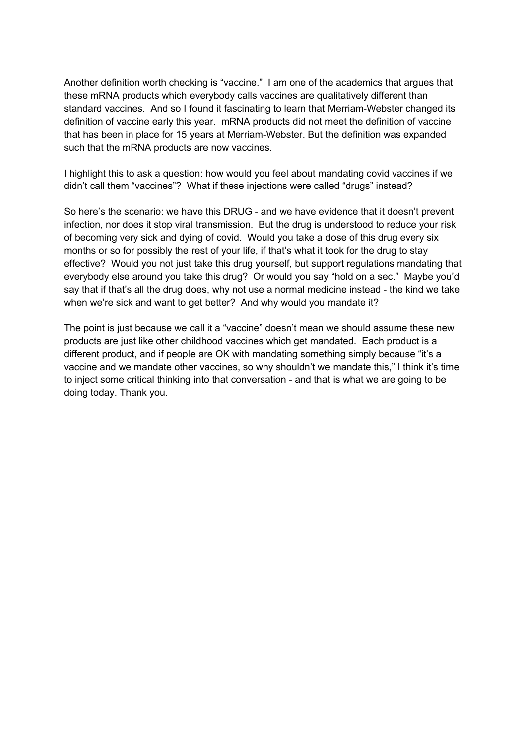Another definition worth checking is "vaccine." I am one of the academics that argues that these mRNA products which everybody calls vaccines are qualitatively different than standard vaccines. And so I found it fascinating to learn that Merriam-Webster changed its definition of vaccine early this year. mRNA products did not meet the definition of vaccine that has been in place for 15 years at Merriam-Webster. But the definition was expanded such that the mRNA products are now vaccines.

I highlight this to ask a question: how would you feel about mandating covid vaccines if we didn't call them "vaccines"? What if these injections were called "drugs" instead?

So here's the scenario: we have this DRUG - and we have evidence that it doesn't prevent infection, nor does it stop viral transmission. But the drug is understood to reduce your risk of becoming very sick and dying of covid. Would you take a dose of this drug every six months or so for possibly the rest of your life, if that's what it took for the drug to stay effective? Would you not just take this drug yourself, but support regulations mandating that everybody else around you take this drug? Or would you say "hold on a sec." Maybe you'd say that if that's all the drug does, why not use a normal medicine instead - the kind we take when we're sick and want to get better? And why would you mandate it?

The point is just because we call it a "vaccine" doesn't mean we should assume these new products are just like other childhood vaccines which get mandated. Each product is a different product, and if people are OK with mandating something simply because "it's a vaccine and we mandate other vaccines, so why shouldn't we mandate this," I think it's time to inject some critical thinking into that conversation - and that is what we are going to be doing today. Thank you.